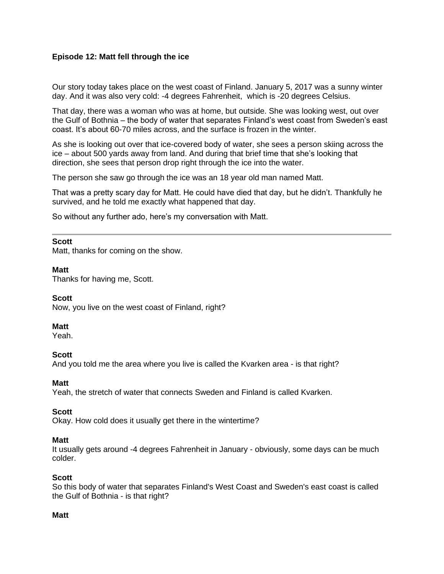# **Episode 12: Matt fell through the ice**

Our story today takes place on the west coast of Finland. January 5, 2017 was a sunny winter day. And it was also very cold: -4 degrees Fahrenheit, which is -20 degrees Celsius.

That day, there was a woman who was at home, but outside. She was looking west, out over the Gulf of Bothnia – the body of water that separates Finland's west coast from Sweden's east coast. It's about 60-70 miles across, and the surface is frozen in the winter.

As she is looking out over that ice-covered body of water, she sees a person skiing across the ice – about 500 yards away from land. And during that brief time that she's looking that direction, she sees that person drop right through the ice into the water.

The person she saw go through the ice was an 18 year old man named Matt.

That was a pretty scary day for Matt. He could have died that day, but he didn't. Thankfully he survived, and he told me exactly what happened that day.

So without any further ado, here's my conversation with Matt.

### **Scott**

Matt, thanks for coming on the show.

### **Matt**

Thanks for having me, Scott.

### **Scott**

Now, you live on the west coast of Finland, right?

### **Matt**

Yeah.

### **Scott**

And you told me the area where you live is called the Kvarken area - is that right?

## **Matt**

Yeah, the stretch of water that connects Sweden and Finland is called Kvarken.

### **Scott**

Okay. How cold does it usually get there in the wintertime?

### **Matt**

It usually gets around -4 degrees Fahrenheit in January - obviously, some days can be much colder.

### **Scott**

So this body of water that separates Finland's West Coast and Sweden's east coast is called the Gulf of Bothnia - is that right?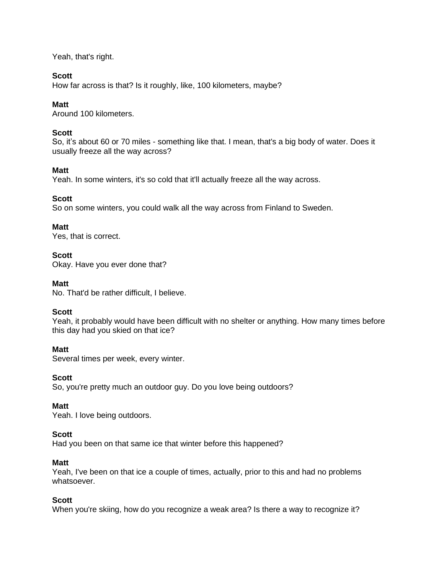Yeah, that's right.

## **Scott**

How far across is that? Is it roughly, like, 100 kilometers, maybe?

# **Matt**

Around 100 kilometers.

# **Scott**

So, it's about 60 or 70 miles - something like that. I mean, that's a big body of water. Does it usually freeze all the way across?

## **Matt**

Yeah. In some winters, it's so cold that it'll actually freeze all the way across.

## **Scott**

So on some winters, you could walk all the way across from Finland to Sweden.

## **Matt**

Yes, that is correct.

# **Scott**

Okay. Have you ever done that?

## **Matt**

No. That'd be rather difficult, I believe.

## **Scott**

Yeah, it probably would have been difficult with no shelter or anything. How many times before this day had you skied on that ice?

## **Matt**

Several times per week, every winter.

## **Scott**

So, you're pretty much an outdoor guy. Do you love being outdoors?

## **Matt**

Yeah. I love being outdoors.

## **Scott**

Had you been on that same ice that winter before this happened?

## **Matt**

Yeah, I've been on that ice a couple of times, actually, prior to this and had no problems whatsoever.

## **Scott**

When you're skiing, how do you recognize a weak area? Is there a way to recognize it?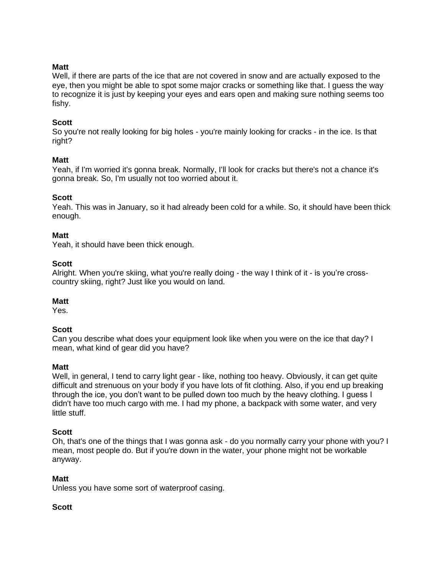## **Matt**

Well, if there are parts of the ice that are not covered in snow and are actually exposed to the eye, then you might be able to spot some major cracks or something like that. I guess the way to recognize it is just by keeping your eyes and ears open and making sure nothing seems too fishy.

### **Scott**

So you're not really looking for big holes - you're mainly looking for cracks - in the ice. Is that right?

### **Matt**

Yeah, if I'm worried it's gonna break. Normally, I'll look for cracks but there's not a chance it's gonna break. So, I'm usually not too worried about it.

### **Scott**

Yeah. This was in January, so it had already been cold for a while. So, it should have been thick enough.

### **Matt**

Yeah, it should have been thick enough.

### **Scott**

Alright. When you're skiing, what you're really doing - the way I think of it - is you're crosscountry skiing, right? Just like you would on land.

### **Matt**

Yes.

### **Scott**

Can you describe what does your equipment look like when you were on the ice that day? I mean, what kind of gear did you have?

### **Matt**

Well, in general, I tend to carry light gear - like, nothing too heavy. Obviously, it can get quite difficult and strenuous on your body if you have lots of fit clothing. Also, if you end up breaking through the ice, you don't want to be pulled down too much by the heavy clothing. I guess I didn't have too much cargo with me. I had my phone, a backpack with some water, and very little stuff.

### **Scott**

Oh, that's one of the things that I was gonna ask - do you normally carry your phone with you? I mean, most people do. But if you're down in the water, your phone might not be workable anyway.

### **Matt**

Unless you have some sort of waterproof casing.

### **Scott**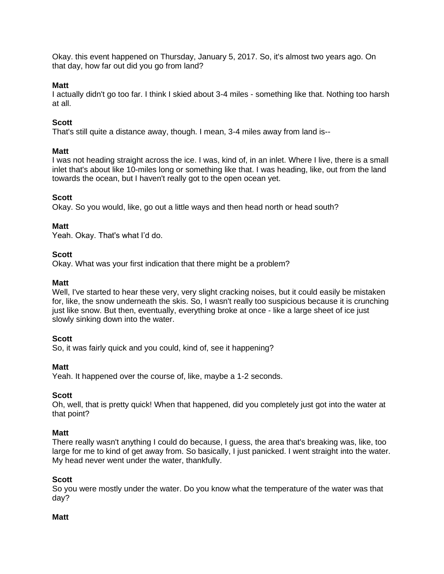Okay. this event happened on Thursday, January 5, 2017. So, it's almost two years ago. On that day, how far out did you go from land?

### **Matt**

I actually didn't go too far. I think I skied about 3-4 miles - something like that. Nothing too harsh at all.

## **Scott**

That's still quite a distance away, though. I mean, 3-4 miles away from land is--

### **Matt**

I was not heading straight across the ice. I was, kind of, in an inlet. Where I live, there is a small inlet that's about like 10-miles long or something like that. I was heading, like, out from the land towards the ocean, but I haven't really got to the open ocean yet.

### **Scott**

Okay. So you would, like, go out a little ways and then head north or head south?

### **Matt**

Yeah. Okay. That's what I'd do.

### **Scott**

Okay. What was your first indication that there might be a problem?

### **Matt**

Well, I've started to hear these very, very slight cracking noises, but it could easily be mistaken for, like, the snow underneath the skis. So, I wasn't really too suspicious because it is crunching just like snow. But then, eventually, everything broke at once - like a large sheet of ice just slowly sinking down into the water.

### **Scott**

So, it was fairly quick and you could, kind of, see it happening?

### **Matt**

Yeah. It happened over the course of, like, maybe a 1-2 seconds.

### **Scott**

Oh, well, that is pretty quick! When that happened, did you completely just got into the water at that point?

### **Matt**

There really wasn't anything I could do because, I guess, the area that's breaking was, like, too large for me to kind of get away from. So basically, I just panicked. I went straight into the water. My head never went under the water, thankfully.

### **Scott**

So you were mostly under the water. Do you know what the temperature of the water was that day?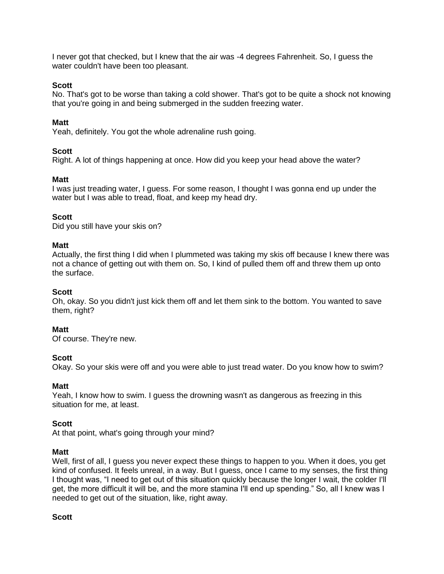I never got that checked, but I knew that the air was -4 degrees Fahrenheit. So, I guess the water couldn't have been too pleasant.

### **Scott**

No. That's got to be worse than taking a cold shower. That's got to be quite a shock not knowing that you're going in and being submerged in the sudden freezing water.

### **Matt**

Yeah, definitely. You got the whole adrenaline rush going.

### **Scott**

Right. A lot of things happening at once. How did you keep your head above the water?

### **Matt**

I was just treading water, I guess. For some reason, I thought I was gonna end up under the water but I was able to tread, float, and keep my head dry.

### **Scott**

Did you still have your skis on?

### **Matt**

Actually, the first thing I did when I plummeted was taking my skis off because I knew there was not a chance of getting out with them on. So, I kind of pulled them off and threw them up onto the surface.

### **Scott**

Oh, okay. So you didn't just kick them off and let them sink to the bottom. You wanted to save them, right?

### **Matt**

Of course. They're new.

### **Scott**

Okay. So your skis were off and you were able to just tread water. Do you know how to swim?

### **Matt**

Yeah, I know how to swim. I guess the drowning wasn't as dangerous as freezing in this situation for me, at least.

### **Scott**

At that point, what's going through your mind?

### **Matt**

Well, first of all, I guess you never expect these things to happen to you. When it does, you get kind of confused. It feels unreal, in a way. But I guess, once I came to my senses, the first thing I thought was, "I need to get out of this situation quickly because the longer I wait, the colder I'll get, the more difficult it will be, and the more stamina I'll end up spending." So, all I knew was I needed to get out of the situation, like, right away.

### **Scott**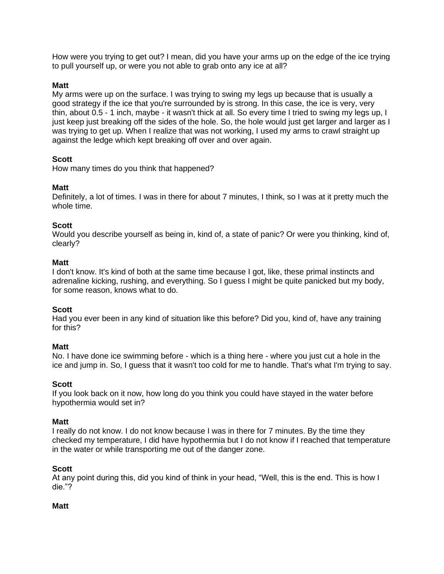How were you trying to get out? I mean, did you have your arms up on the edge of the ice trying to pull yourself up, or were you not able to grab onto any ice at all?

## **Matt**

My arms were up on the surface. I was trying to swing my legs up because that is usually a good strategy if the ice that you're surrounded by is strong. In this case, the ice is very, very thin, about 0.5 - 1 inch, maybe - it wasn't thick at all. So every time I tried to swing my legs up, I just keep just breaking off the sides of the hole. So, the hole would just get larger and larger as I was trying to get up. When I realize that was not working, I used my arms to crawl straight up against the ledge which kept breaking off over and over again.

## **Scott**

How many times do you think that happened?

## **Matt**

Definitely, a lot of times. I was in there for about 7 minutes, I think, so I was at it pretty much the whole time.

### **Scott**

Would you describe yourself as being in, kind of, a state of panic? Or were you thinking, kind of, clearly?

### **Matt**

I don't know. It's kind of both at the same time because I got, like, these primal instincts and adrenaline kicking, rushing, and everything. So I guess I might be quite panicked but my body, for some reason, knows what to do.

## **Scott**

Had you ever been in any kind of situation like this before? Did you, kind of, have any training for this?

## **Matt**

No. I have done ice swimming before - which is a thing here - where you just cut a hole in the ice and jump in. So, I guess that it wasn't too cold for me to handle. That's what I'm trying to say.

### **Scott**

If you look back on it now, how long do you think you could have stayed in the water before hypothermia would set in?

### **Matt**

I really do not know. I do not know because I was in there for 7 minutes. By the time they checked my temperature, I did have hypothermia but I do not know if I reached that temperature in the water or while transporting me out of the danger zone.

### **Scott**

At any point during this, did you kind of think in your head, "Well, this is the end. This is how I die."?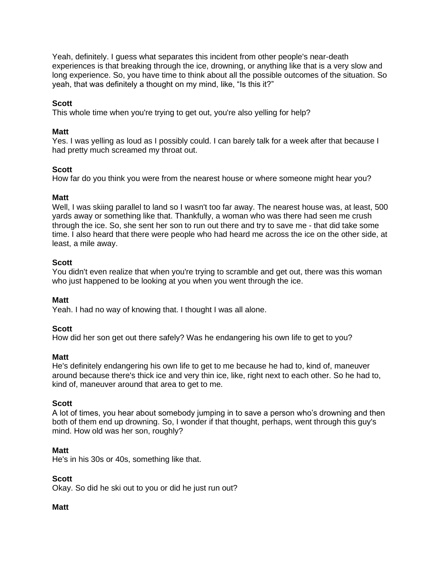Yeah, definitely. I guess what separates this incident from other people's near-death experiences is that breaking through the ice, drowning, or anything like that is a very slow and long experience. So, you have time to think about all the possible outcomes of the situation. So yeah, that was definitely a thought on my mind, like, "Is this it?"

## **Scott**

This whole time when you're trying to get out, you're also yelling for help?

### **Matt**

Yes. I was yelling as loud as I possibly could. I can barely talk for a week after that because I had pretty much screamed my throat out.

### **Scott**

How far do you think you were from the nearest house or where someone might hear you?

### **Matt**

Well, I was skiing parallel to land so I wasn't too far away. The nearest house was, at least, 500 yards away or something like that. Thankfully, a woman who was there had seen me crush through the ice. So, she sent her son to run out there and try to save me - that did take some time. I also heard that there were people who had heard me across the ice on the other side, at least, a mile away.

### **Scott**

You didn't even realize that when you're trying to scramble and get out, there was this woman who just happened to be looking at you when you went through the ice.

### **Matt**

Yeah. I had no way of knowing that. I thought I was all alone.

### **Scott**

How did her son get out there safely? Was he endangering his own life to get to you?

### **Matt**

He's definitely endangering his own life to get to me because he had to, kind of, maneuver around because there's thick ice and very thin ice, like, right next to each other. So he had to, kind of, maneuver around that area to get to me.

### **Scott**

A lot of times, you hear about somebody jumping in to save a person who's drowning and then both of them end up drowning. So, I wonder if that thought, perhaps, went through this guy's mind. How old was her son, roughly?

### **Matt**

He's in his 30s or 40s, something like that.

### **Scott**

Okay. So did he ski out to you or did he just run out?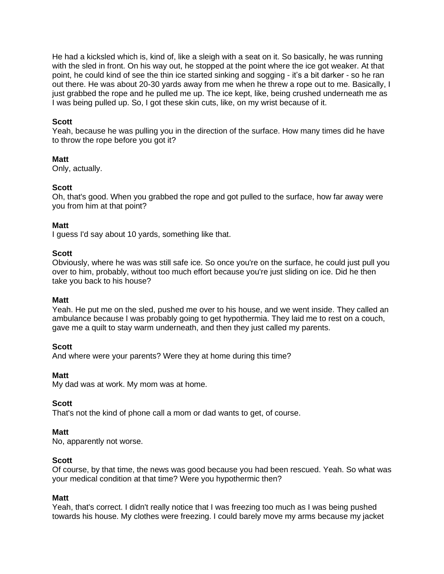He had a kicksled which is, kind of, like a sleigh with a seat on it. So basically, he was running with the sled in front. On his way out, he stopped at the point where the ice got weaker. At that point, he could kind of see the thin ice started sinking and sogging - it's a bit darker - so he ran out there. He was about 20-30 yards away from me when he threw a rope out to me. Basically, I just grabbed the rope and he pulled me up. The ice kept, like, being crushed underneath me as I was being pulled up. So, I got these skin cuts, like, on my wrist because of it.

### **Scott**

Yeah, because he was pulling you in the direction of the surface. How many times did he have to throw the rope before you got it?

### **Matt**

Only, actually.

### **Scott**

Oh, that's good. When you grabbed the rope and got pulled to the surface, how far away were you from him at that point?

### **Matt**

I guess I'd say about 10 yards, something like that.

### **Scott**

Obviously, where he was was still safe ice. So once you're on the surface, he could just pull you over to him, probably, without too much effort because you're just sliding on ice. Did he then take you back to his house?

### **Matt**

Yeah. He put me on the sled, pushed me over to his house, and we went inside. They called an ambulance because I was probably going to get hypothermia. They laid me to rest on a couch, gave me a quilt to stay warm underneath, and then they just called my parents.

### **Scott**

And where were your parents? Were they at home during this time?

### **Matt**

My dad was at work. My mom was at home.

### **Scott**

That's not the kind of phone call a mom or dad wants to get, of course.

### **Matt**

No, apparently not worse.

### **Scott**

Of course, by that time, the news was good because you had been rescued. Yeah. So what was your medical condition at that time? Were you hypothermic then?

### **Matt**

Yeah, that's correct. I didn't really notice that I was freezing too much as I was being pushed towards his house. My clothes were freezing. I could barely move my arms because my jacket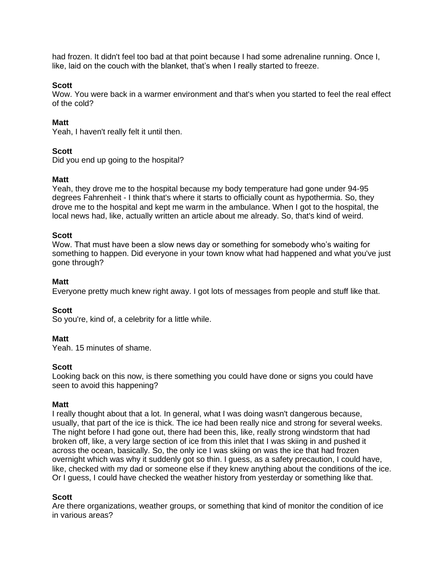had frozen. It didn't feel too bad at that point because I had some adrenaline running. Once I, like, laid on the couch with the blanket, that's when I really started to freeze.

### **Scott**

Wow. You were back in a warmer environment and that's when you started to feel the real effect of the cold?

### **Matt**

Yeah, I haven't really felt it until then.

## **Scott**

Did you end up going to the hospital?

### **Matt**

Yeah, they drove me to the hospital because my body temperature had gone under 94-95 degrees Fahrenheit - I think that's where it starts to officially count as hypothermia. So, they drove me to the hospital and kept me warm in the ambulance. When I got to the hospital, the local news had, like, actually written an article about me already. So, that's kind of weird.

### **Scott**

Wow. That must have been a slow news day or something for somebody who's waiting for something to happen. Did everyone in your town know what had happened and what you've just gone through?

### **Matt**

Everyone pretty much knew right away. I got lots of messages from people and stuff like that.

## **Scott**

So you're, kind of, a celebrity for a little while.

### **Matt**

Yeah. 15 minutes of shame.

### **Scott**

Looking back on this now, is there something you could have done or signs you could have seen to avoid this happening?

### **Matt**

I really thought about that a lot. In general, what I was doing wasn't dangerous because, usually, that part of the ice is thick. The ice had been really nice and strong for several weeks. The night before I had gone out, there had been this, like, really strong windstorm that had broken off, like, a very large section of ice from this inlet that I was skiing in and pushed it across the ocean, basically. So, the only ice I was skiing on was the ice that had frozen overnight which was why it suddenly got so thin. I guess, as a safety precaution, I could have, like, checked with my dad or someone else if they knew anything about the conditions of the ice. Or I guess, I could have checked the weather history from yesterday or something like that.

## **Scott**

Are there organizations, weather groups, or something that kind of monitor the condition of ice in various areas?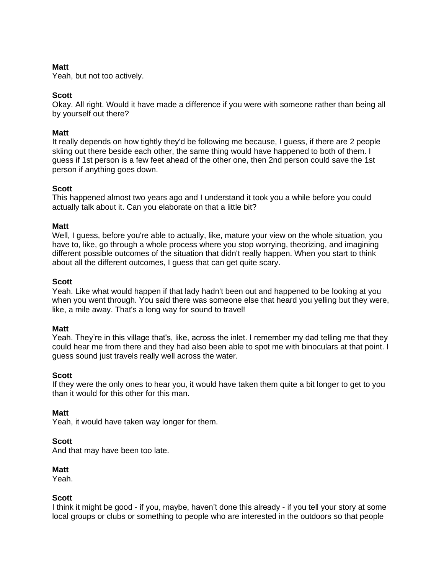## **Matt**

Yeah, but not too actively.

## **Scott**

Okay. All right. Would it have made a difference if you were with someone rather than being all by yourself out there?

### **Matt**

It really depends on how tightly they'd be following me because, I guess, if there are 2 people skiing out there beside each other, the same thing would have happened to both of them. I guess if 1st person is a few feet ahead of the other one, then 2nd person could save the 1st person if anything goes down.

### **Scott**

This happened almost two years ago and I understand it took you a while before you could actually talk about it. Can you elaborate on that a little bit?

### **Matt**

Well, I guess, before you're able to actually, like, mature your view on the whole situation, you have to, like, go through a whole process where you stop worrying, theorizing, and imagining different possible outcomes of the situation that didn't really happen. When you start to think about all the different outcomes, I guess that can get quite scary.

### **Scott**

Yeah. Like what would happen if that lady hadn't been out and happened to be looking at you when you went through. You said there was someone else that heard you yelling but they were, like, a mile away. That's a long way for sound to travel!

### **Matt**

Yeah. They're in this village that's, like, across the inlet. I remember my dad telling me that they could hear me from there and they had also been able to spot me with binoculars at that point. I guess sound just travels really well across the water.

### **Scott**

If they were the only ones to hear you, it would have taken them quite a bit longer to get to you than it would for this other for this man.

### **Matt**

Yeah, it would have taken way longer for them.

### **Scott**

And that may have been too late.

### **Matt**

Yeah.

## **Scott**

I think it might be good - if you, maybe, haven't done this already - if you tell your story at some local groups or clubs or something to people who are interested in the outdoors so that people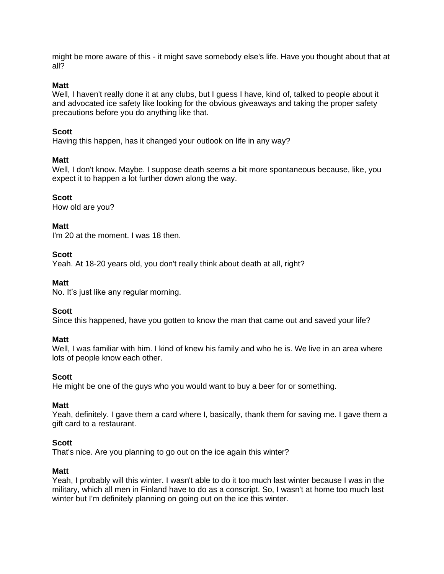might be more aware of this - it might save somebody else's life. Have you thought about that at all?

### **Matt**

Well, I haven't really done it at any clubs, but I guess I have, kind of, talked to people about it and advocated ice safety like looking for the obvious giveaways and taking the proper safety precautions before you do anything like that.

## **Scott**

Having this happen, has it changed your outlook on life in any way?

## **Matt**

Well, I don't know. Maybe. I suppose death seems a bit more spontaneous because, like, you expect it to happen a lot further down along the way.

### **Scott**

How old are you?

### **Matt**

I'm 20 at the moment. I was 18 then.

### **Scott**

Yeah. At 18-20 years old, you don't really think about death at all, right?

## **Matt**

No. It's just like any regular morning.

## **Scott**

Since this happened, have you gotten to know the man that came out and saved your life?

## **Matt**

Well, I was familiar with him. I kind of knew his family and who he is. We live in an area where lots of people know each other.

## **Scott**

He might be one of the guys who you would want to buy a beer for or something.

## **Matt**

Yeah, definitely. I gave them a card where I, basically, thank them for saving me. I gave them a gift card to a restaurant.

# **Scott**

That's nice. Are you planning to go out on the ice again this winter?

### **Matt**

Yeah, I probably will this winter. I wasn't able to do it too much last winter because I was in the military, which all men in Finland have to do as a conscript. So, I wasn't at home too much last winter but I'm definitely planning on going out on the ice this winter.